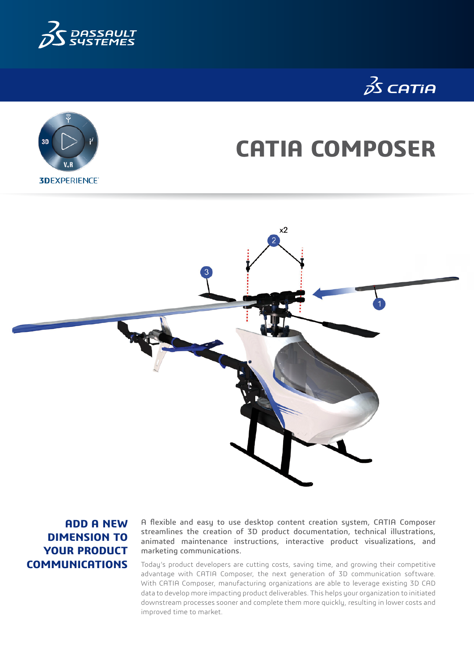





# **CATIA COMPOSER**



**ADD A NEW DIMENSION TO YOUR PRODUCT COMMUNICATIONS**

A flexible and easy to use desktop content creation system, CATIA Composer streamlines the creation of 3D product documentation, technical illustrations, animated maintenance instructions, interactive product visualizations, and marketing communications.

Today's product developers are cutting costs, saving time, and growing their competitive advantage with CATIA Composer, the next generation of 3D communication software. With CATIA Composer, manufacturing organizations are able to leverage existing 3D CAD data to develop more impacting product deliverables. This helps your organization to initiated downstream processes sooner and complete them more quickly, resulting in lower costs and improved time to market.